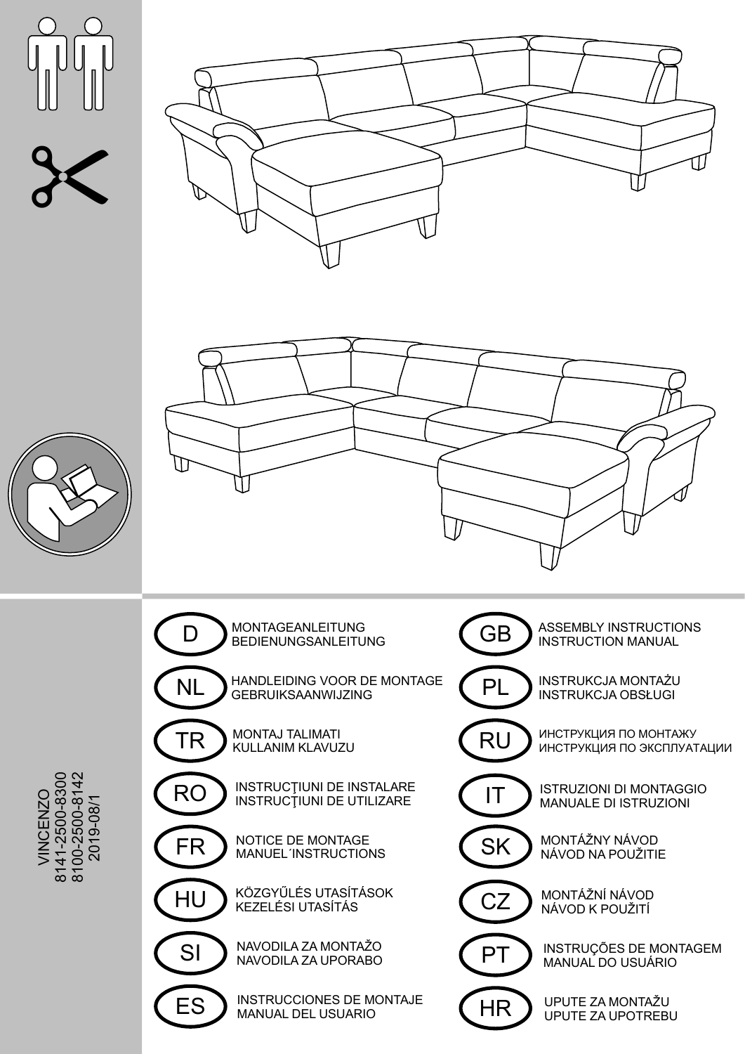







8141-2500-8300<br>8100-2500-8142 **VINCENZO** 2019-08/1

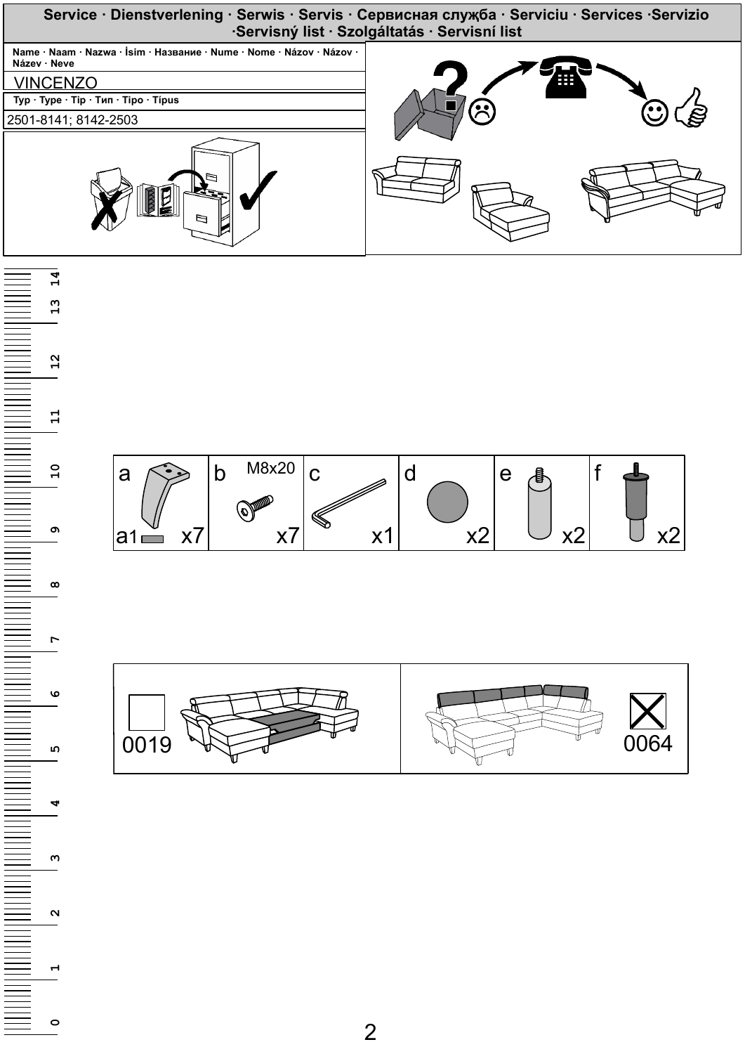





**13**

**14**

**0**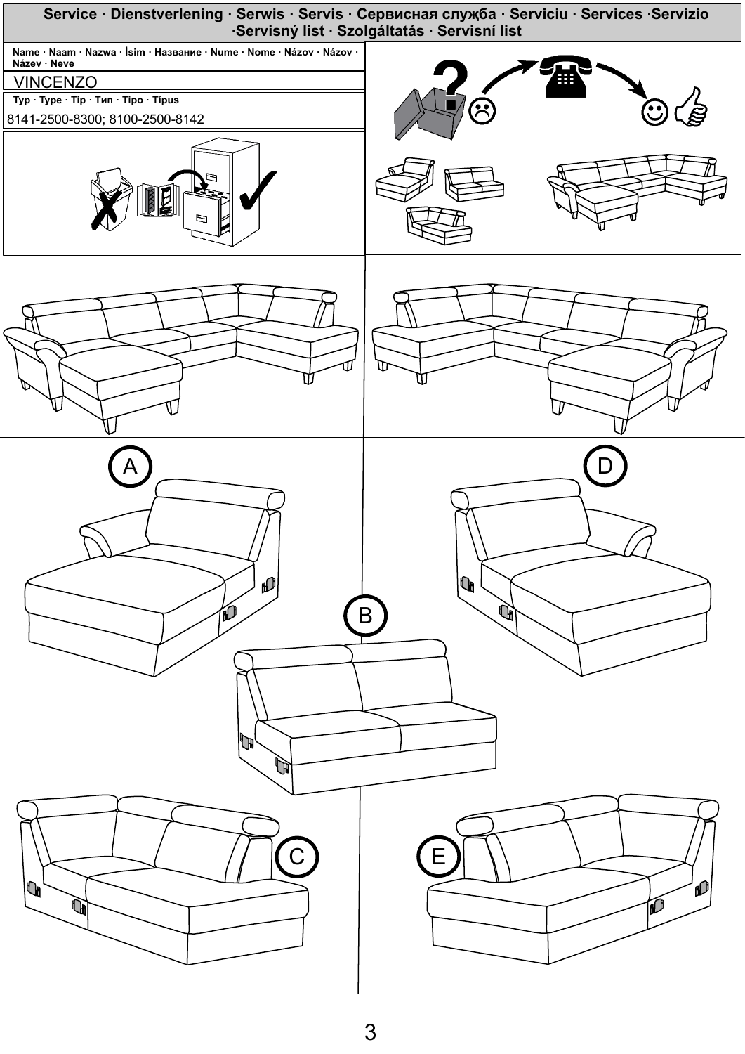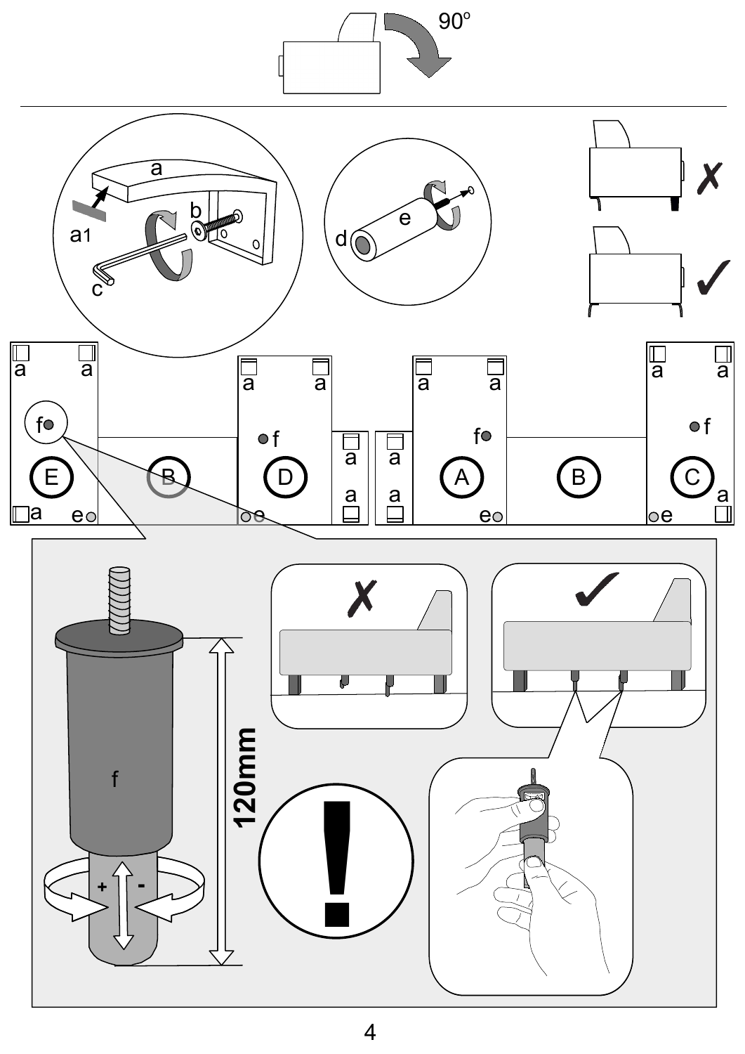

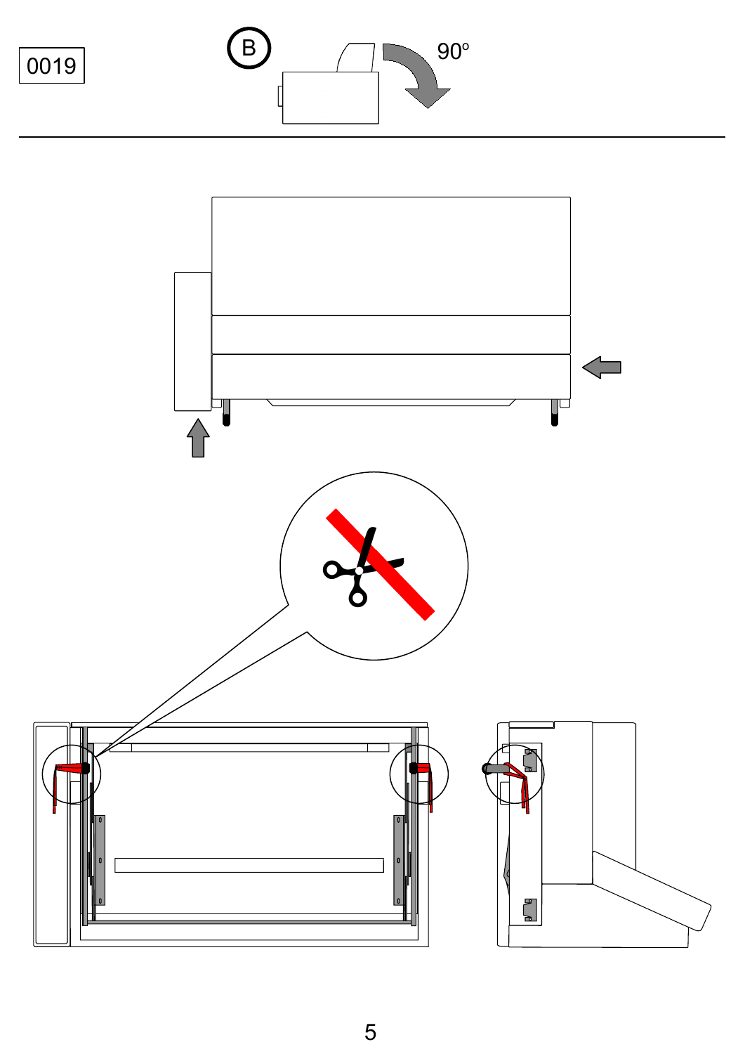

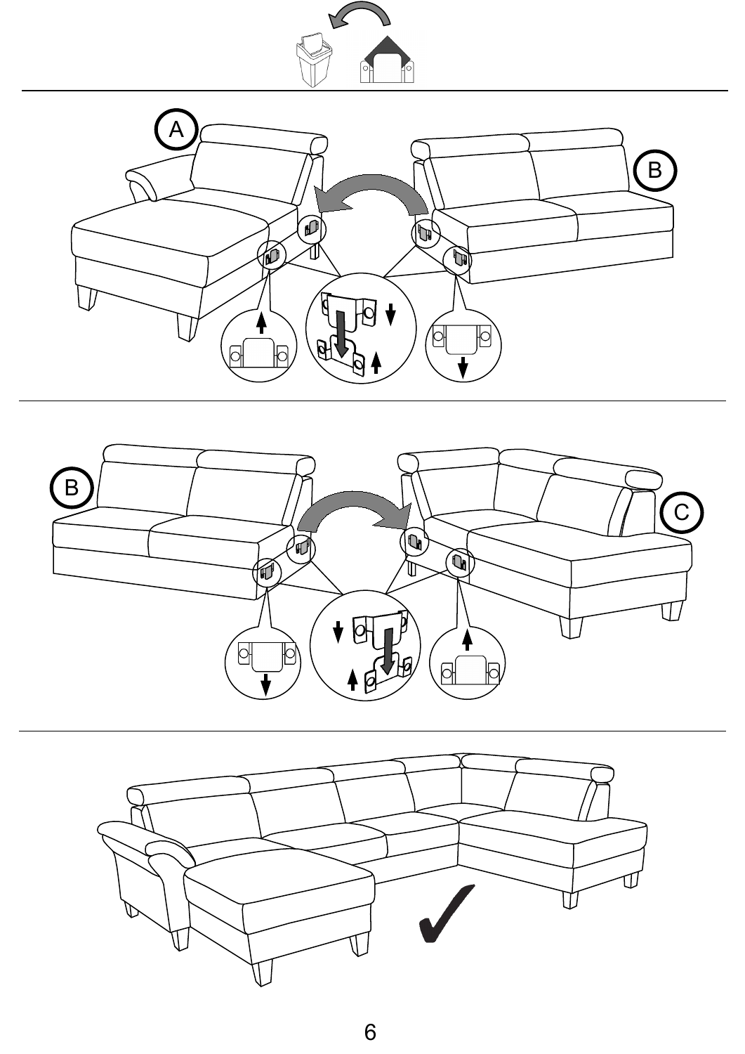





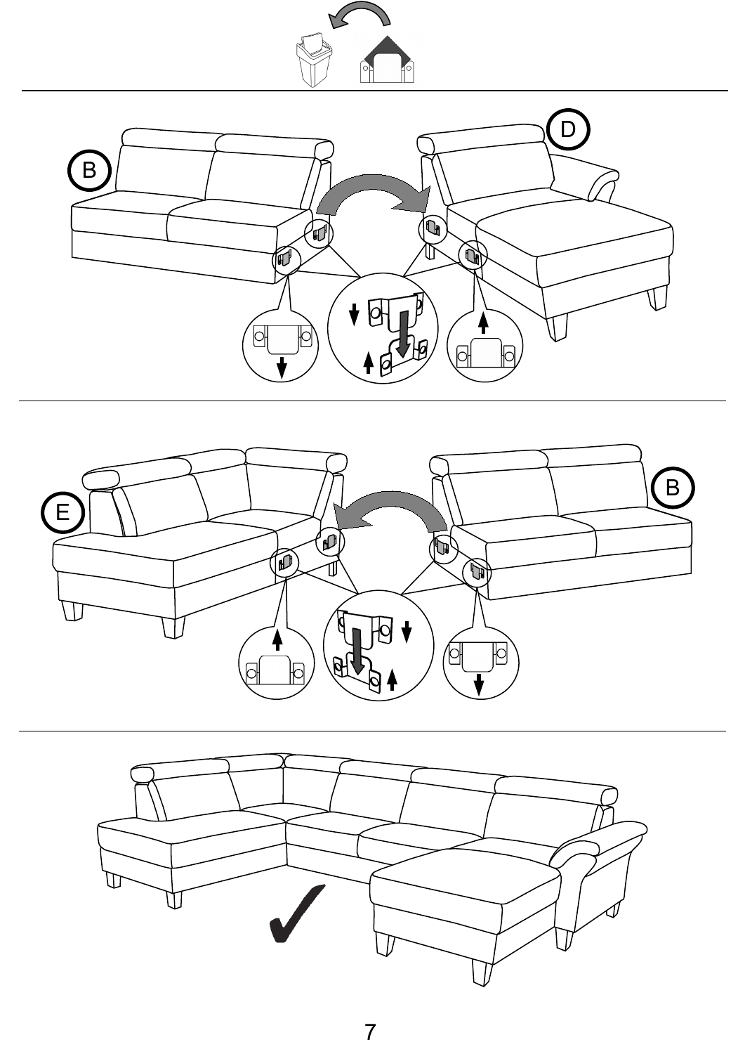





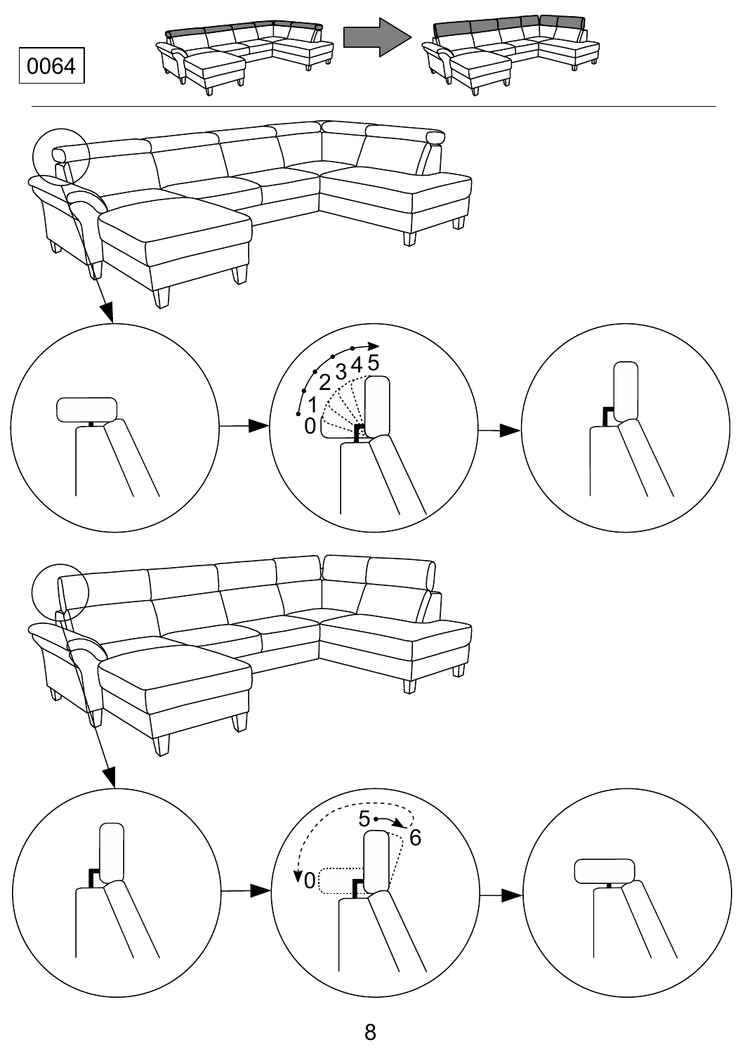